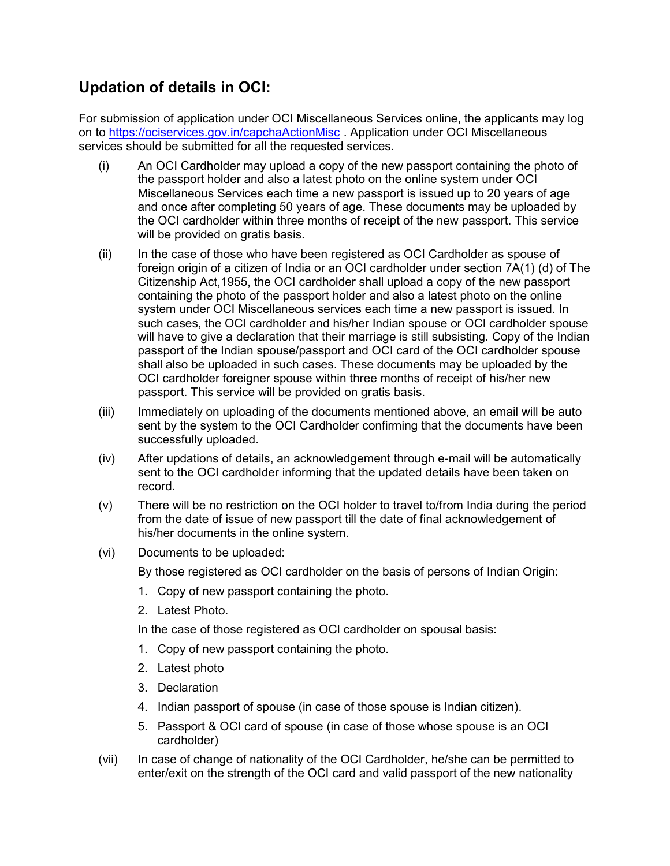## Updation of details in OCI:

For submission of application under OCI Miscellaneous Services online, the applicants may log on to https://ociservices.gov.in/capchaActionMisc . Application under OCI Miscellaneous services should be submitted for all the requested services.

- (i) An OCI Cardholder may upload a copy of the new passport containing the photo of the passport holder and also a latest photo on the online system under OCI Miscellaneous Services each time a new passport is issued up to 20 years of age and once after completing 50 years of age. These documents may be uploaded by the OCI cardholder within three months of receipt of the new passport. This service will be provided on gratis basis.
- (ii) In the case of those who have been registered as OCI Cardholder as spouse of foreign origin of a citizen of India or an OCI cardholder under section 7A(1) (d) of The Citizenship Act,1955, the OCI cardholder shall upload a copy of the new passport containing the photo of the passport holder and also a latest photo on the online system under OCI Miscellaneous services each time a new passport is issued. In such cases, the OCI cardholder and his/her Indian spouse or OCI cardholder spouse will have to give a declaration that their marriage is still subsisting. Copy of the Indian passport of the Indian spouse/passport and OCI card of the OCI cardholder spouse shall also be uploaded in such cases. These documents may be uploaded by the OCI cardholder foreigner spouse within three months of receipt of his/her new passport. This service will be provided on gratis basis.
- (iii) Immediately on uploading of the documents mentioned above, an email will be auto sent by the system to the OCI Cardholder confirming that the documents have been successfully uploaded.
- (iv) After updations of details, an acknowledgement through e-mail will be automatically sent to the OCI cardholder informing that the updated details have been taken on record.
- (v) There will be no restriction on the OCI holder to travel to/from India during the period from the date of issue of new passport till the date of final acknowledgement of his/her documents in the online system.
- (vi) Documents to be uploaded:

By those registered as OCI cardholder on the basis of persons of Indian Origin:

- 1. Copy of new passport containing the photo.
- 2. Latest Photo.

In the case of those registered as OCI cardholder on spousal basis:

- 1. Copy of new passport containing the photo.
- 2. Latest photo
- 3. Declaration
- 4. Indian passport of spouse (in case of those spouse is Indian citizen).
- 5. Passport & OCI card of spouse (in case of those whose spouse is an OCI cardholder)
- (vii) In case of change of nationality of the OCI Cardholder, he/she can be permitted to enter/exit on the strength of the OCI card and valid passport of the new nationality